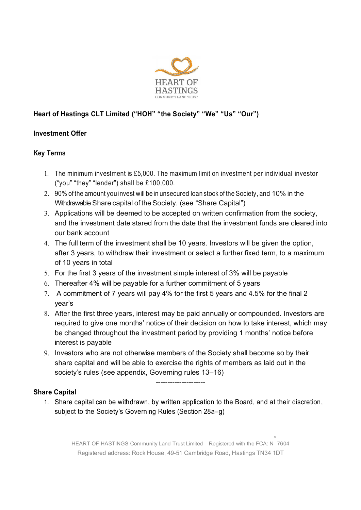

# Heart of Hastings CLT Limited ("HOH" "the Society" "We" "Us" "Our")

## Investment Offer

## Key Terms

- The minimum investment is £5,000. The maximum limit on investment per individual investor ("you" "they" "lender") shall be £100,000.
- 90% of the amount you invest will be in unsecured loan stock of the Society, and 10% in the Withdrawable Share capital of the Society. (see "Share Capital")
- Applications will be deemed to be accepted on written confirmation from the society, and the investment date stared from the date that the investment funds are cleared into our bank account
- The full term of the investment shall be 10 years. Investors will be given the option, after 3 years, to withdraw their investment or select a further fixed term, to a maximum of 10 years in total
- For the first 3 years of the investment simple interest of 3% will be payable
- Thereafter 4% will be payable for a further commitment of 5 years
- A commitment of 7 years will pay 4% for the first 5 years and 4.5% for the final 2 year's
- After the first three years, interest may be paid annually or compounded. Investors are required to give one months' notice of their decision on how to take interest, which may be changed throughout the investment period by providing 1 months' notice before interest is payable
- 9. Investors who are not otherwise members of the Society shall become so by their share capital and will be able to exercise the rights of members as laid out in the society's rules (see appendix, Governing rules 13–16)

#### Share Capital

1. Share capital can be withdrawn, by written application to the Board, and at their discretion, subject to the Society's Governing Rules (Section 28a–g)

---------------------

HEART OF HASTINGS Community Land Trust Limited Registered with the FCA: N º 7604 Registered address: Rock House, 49-51 Cambridge Road, Hastings TN34 1DT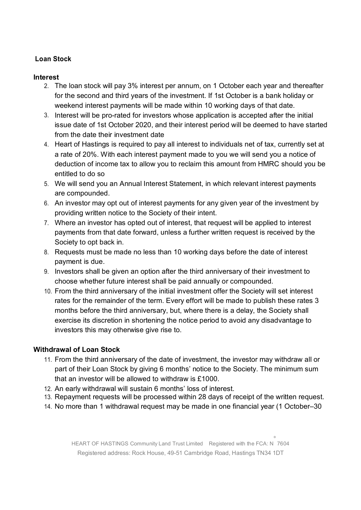## Loan Stock

#### **Interest**

- 2. The loan stock will pay 3% interest per annum, on 1 October each year and thereafter for the second and third years of the investment. If 1st October is a bank holiday or weekend interest payments will be made within 10 working days of that date.
- 3. Interest will be pro-rated for investors whose application is accepted after the initial issue date of 1st October 2020, and their interest period will be deemed to have started from the date their investment date
- 4. Heart of Hastings is required to pay all interest to individuals net of tax, currently set at a rate of 20%. With each interest payment made to you we will send you a notice of deduction of income tax to allow you to reclaim this amount from HMRC should you be entitled to do so
- 5. We will send you an Annual Interest Statement, in which relevant interest payments are compounded.
- 6. An investor may opt out of interest payments for any given year of the investment by providing written notice to the Society of their intent.
- 7. Where an investor has opted out of interest, that request will be applied to interest payments from that date forward, unless a further written request is received by the Society to opt back in.
- 8. Requests must be made no less than 10 working days before the date of interest payment is due.
- 9. Investors shall be given an option after the third anniversary of their investment to choose whether future interest shall be paid annually or compounded.
- 10. From the third anniversary of the initial investment offer the Society will set interest rates for the remainder of the term. Every effort will be made to publish these rates 3 months before the third anniversary, but, where there is a delay, the Society shall exercise its discretion in shortening the notice period to avoid any disadvantage to investors this may otherwise give rise to.

#### Withdrawal of Loan Stock

- 11. From the third anniversary of the date of investment, the investor may withdraw all or part of their Loan Stock by giving 6 months' notice to the Society. The minimum sum that an investor will be allowed to withdraw is £1000.
- 12. An early withdrawal will sustain 6 months' loss of interest.
- 13. Repayment requests will be processed within 28 days of receipt of the written request.
- 14. No more than 1 withdrawal request may be made in one financial year (1 October–30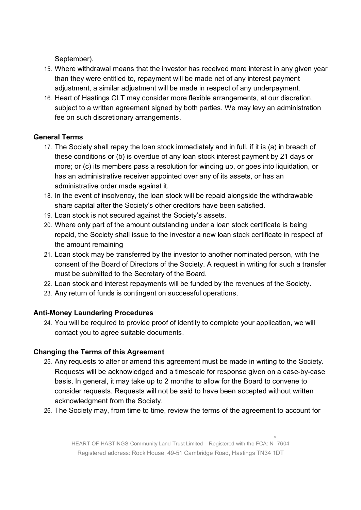September).

- 15. Where withdrawal means that the investor has received more interest in any given year than they were entitled to, repayment will be made net of any interest payment adjustment, a similar adjustment will be made in respect of any underpayment.
- 16. Heart of Hastings CLT may consider more flexible arrangements, at our discretion, subject to a written agreement signed by both parties. We may levy an administration fee on such discretionary arrangements.

## General Terms

- 17. The Society shall repay the loan stock immediately and in full, if it is (a) in breach of these conditions or (b) is overdue of any loan stock interest payment by 21 days or more; or (c) its members pass a resolution for winding up, or goes into liquidation, or has an administrative receiver appointed over any of its assets, or has an administrative order made against it.
- 18. In the event of insolvency, the loan stock will be repaid alongside the withdrawable share capital after the Society's other creditors have been satisfied.
- 19. Loan stock is not secured against the Society's assets.
- 20. Where only part of the amount outstanding under a loan stock certificate is being repaid, the Society shall issue to the investor a new loan stock certificate in respect of the amount remaining
- 21. Loan stock may be transferred by the investor to another nominated person, with the consent of the Board of Directors of the Society. A request in writing for such a transfer must be submitted to the Secretary of the Board.
- 22. Loan stock and interest repayments will be funded by the revenues of the Society.
- 23. Any return of funds is contingent on successful operations.

## Anti-Money Laundering Procedures

24. You will be required to provide proof of identity to complete your application, we will contact you to agree suitable documents.

## Changing the Terms of this Agreement

- 25. Any requests to alter or amend this agreement must be made in writing to the Society. Requests will be acknowledged and a timescale for response given on a case-by-case basis. In general, it may take up to 2 months to allow for the Board to convene to consider requests. Requests will not be said to have been accepted without written acknowledgment from the Society.
- 26. The Society may, from time to time, review the terms of the agreement to account for